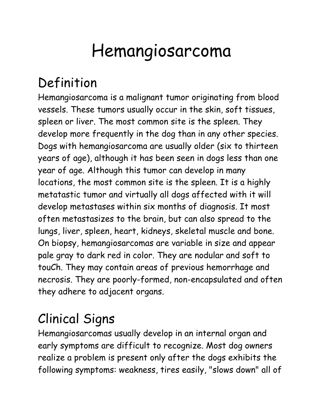# Hemangiosarcoma

## Definition

Hemangiosarcoma is a malignant tumor originating from blood vessels. These tumors usually occur in the skin, soft tissues, spleen or liver. The most common site is the spleen. They develop more frequently in the dog than in any other species. Dogs with hemangiosarcoma are usually older (six to thirteen years of age), although it has been seen in dogs less than one year of age. Although this tumor can develop in many locations, the most common site is the spleen. It is a highly metatastic tumor and virtually all dogs affected with it will develop metastases within six months of diagnosis. It most often metastasizes to the brain, but can also spread to the lungs, liver, spleen, heart, kidneys, skeletal muscle and bone. On biopsy, hemangiosarcomas are variable in size and appear pale gray to dark red in color. They are nodular and soft to touCh. They may contain areas of previous hemorrhage and necrosis. They are poorly-formed, non-encapsulated and often they adhere to adjacent organs.

# Clinical Signs

Hemangiosarcomas usually develop in an internal organ and early symptoms are difficult to recognize. Most dog owners realize a problem is present only after the dogs exhibits the following symptoms: weakness, tires easily, "slows down" all of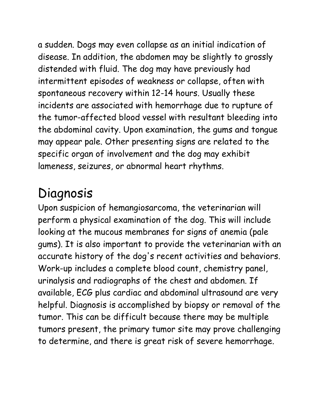a sudden. Dogs may even collapse as an initial indication of disease. In addition, the abdomen may be slightly to grossly distended with fluid. The dog may have previously had intermittent episodes of weakness or collapse, often with spontaneous recovery within 12-14 hours. Usually these incidents are associated with hemorrhage due to rupture of the tumor-affected blood vessel with resultant bleeding into the abdominal cavity. Upon examination, the gums and tongue may appear pale. Other presenting signs are related to the specific organ of involvement and the dog may exhibit lameness, seizures, or abnormal heart rhythms.

#### Diagnosis

Upon suspicion of hemangiosarcoma, the veterinarian will perform a physical examination of the dog. This will include looking at the mucous membranes for signs of anemia (pale gums). It is also important to provide the veterinarian with an accurate history of the dog's recent activities and behaviors. Work-up includes a complete blood count, chemistry panel, urinalysis and radiographs of the chest and abdomen. If available, ECG plus cardiac and abdominal ultrasound are very helpful. Diagnosis is accomplished by biopsy or removal of the tumor. This can be difficult because there may be multiple tumors present, the primary tumor site may prove challenging to determine, and there is great risk of severe hemorrhage.